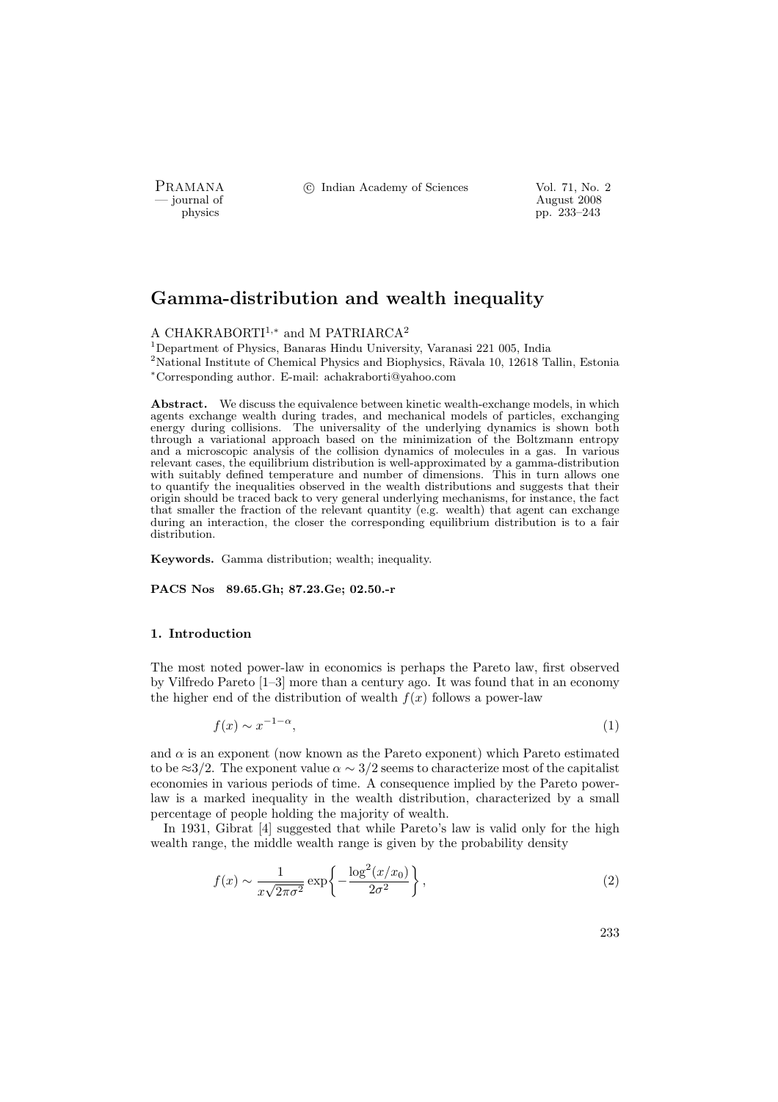PRAMANA °c Indian Academy of Sciences Vol. 71, No. 2

physics and the contract of the contract of the contract of the contract of the contract of the contract of the contract of the contract of the contract of the contract of the contract of the contract of the contract of th physics pp. 233–243

# Gamma-distribution and wealth inequality

# A CHAKRABORTI<sup>1,\*</sup> and M PATRIARCA<sup>2</sup>

<sup>1</sup>Department of Physics, Banaras Hindu University, Varanasi 221 005, India  $2N$ ational Institute of Chemical Physics and Biophysics, Rävala 10, 12618 Tallin, Estonia <sup>∗</sup>Corresponding author. E-mail: achakraborti@yahoo.com

Abstract. We discuss the equivalence between kinetic wealth-exchange models, in which agents exchange wealth during trades, and mechanical models of particles, exchanging energy during collisions. The universality of the underlying dynamics is shown both through a variational approach based on the minimization of the Boltzmann entropy and a microscopic analysis of the collision dynamics of molecules in a gas. In various relevant cases, the equilibrium distribution is well-approximated by a gamma-distribution with suitably defined temperature and number of dimensions. This in turn allows one to quantify the inequalities observed in the wealth distributions and suggests that their origin should be traced back to very general underlying mechanisms, for instance, the fact that smaller the fraction of the relevant quantity  $(e.g.,$  wealth) that agent can exchange during an interaction, the closer the corresponding equilibrium distribution is to a fair distribution.

Keywords. Gamma distribution; wealth; inequality.

PACS Nos 89.65.Gh; 87.23.Ge; 02.50.-r

### 1. Introduction

The most noted power-law in economics is perhaps the Pareto law, first observed by Vilfredo Pareto [1–3] more than a century ago. It was found that in an economy the higher end of the distribution of wealth  $f(x)$  follows a power-law

$$
f(x) \sim x^{-1-\alpha},\tag{1}
$$

and  $\alpha$  is an exponent (now known as the Pareto exponent) which Pareto estimated to be ≈3/2. The exponent value  $\alpha \sim 3/2$  seems to characterize most of the capitalist economies in various periods of time. A consequence implied by the Pareto powerlaw is a marked inequality in the wealth distribution, characterized by a small percentage of people holding the majority of wealth.

In 1931, Gibrat [4] suggested that while Pareto's law is valid only for the high wealth range, the middle wealth range is given by the probability density

$$
f(x) \sim \frac{1}{x\sqrt{2\pi\sigma^2}} \exp\left\{-\frac{\log^2(x/x_0)}{2\sigma^2}\right\},\tag{2}
$$

233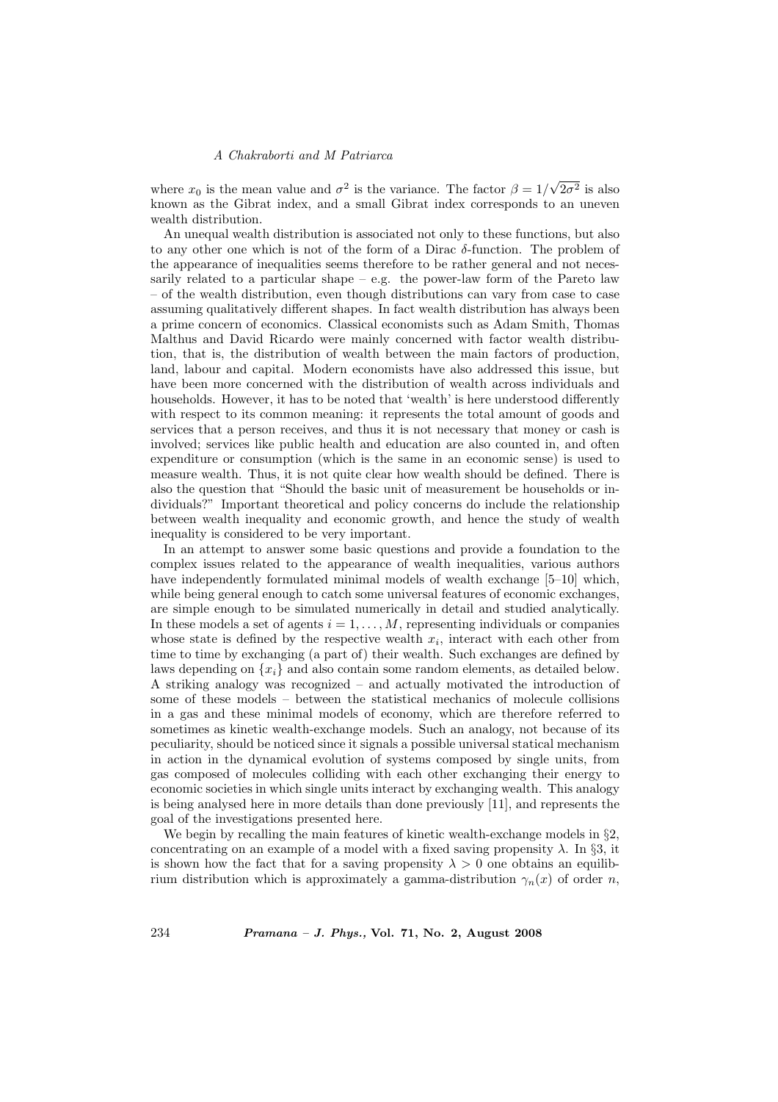where  $x_0$  is the mean value and  $\sigma^2$  is the variance. The factor  $\beta = 1/2$ √  $2\sigma^2$  is also known as the Gibrat index, and a small Gibrat index corresponds to an uneven wealth distribution.

An unequal wealth distribution is associated not only to these functions, but also to any other one which is not of the form of a Dirac  $\delta$ -function. The problem of the appearance of inequalities seems therefore to be rather general and not necessarily related to a particular shape  $-$  e.g. the power-law form of the Pareto law – of the wealth distribution, even though distributions can vary from case to case assuming qualitatively different shapes. In fact wealth distribution has always been a prime concern of economics. Classical economists such as Adam Smith, Thomas Malthus and David Ricardo were mainly concerned with factor wealth distribution, that is, the distribution of wealth between the main factors of production, land, labour and capital. Modern economists have also addressed this issue, but have been more concerned with the distribution of wealth across individuals and households. However, it has to be noted that 'wealth' is here understood differently with respect to its common meaning: it represents the total amount of goods and services that a person receives, and thus it is not necessary that money or cash is involved; services like public health and education are also counted in, and often expenditure or consumption (which is the same in an economic sense) is used to measure wealth. Thus, it is not quite clear how wealth should be defined. There is also the question that "Should the basic unit of measurement be households or individuals?" Important theoretical and policy concerns do include the relationship between wealth inequality and economic growth, and hence the study of wealth inequality is considered to be very important.

In an attempt to answer some basic questions and provide a foundation to the complex issues related to the appearance of wealth inequalities, various authors have independently formulated minimal models of wealth exchange [5–10] which, while being general enough to catch some universal features of economic exchanges, are simple enough to be simulated numerically in detail and studied analytically. In these models a set of agents  $i = 1, \ldots, M$ , representing individuals or companies whose state is defined by the respective wealth  $x_i$ , interact with each other from time to time by exchanging (a part of) their wealth. Such exchanges are defined by laws depending on  $\{x_i\}$  and also contain some random elements, as detailed below. A striking analogy was recognized – and actually motivated the introduction of some of these models – between the statistical mechanics of molecule collisions in a gas and these minimal models of economy, which are therefore referred to sometimes as kinetic wealth-exchange models. Such an analogy, not because of its peculiarity, should be noticed since it signals a possible universal statical mechanism in action in the dynamical evolution of systems composed by single units, from gas composed of molecules colliding with each other exchanging their energy to economic societies in which single units interact by exchanging wealth. This analogy is being analysed here in more details than done previously [11], and represents the goal of the investigations presented here.

We begin by recalling the main features of kinetic wealth-exchange models in §2, concentrating on an example of a model with a fixed saving propensity  $\lambda$ . In §3, it is shown how the fact that for a saving propensity  $\lambda > 0$  one obtains an equilibrium distribution which is approximately a gamma-distribution  $\gamma_n(x)$  of order n,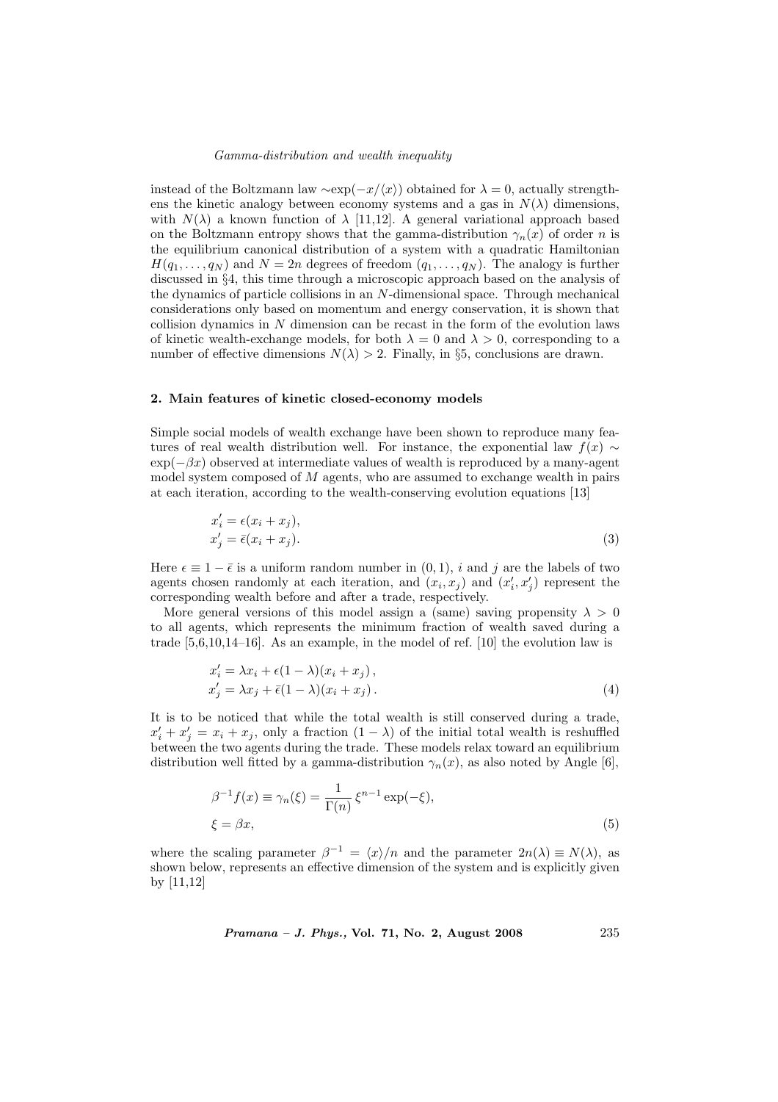instead of the Boltzmann law  $\sim \exp(-x/\langle x \rangle)$  obtained for  $\lambda = 0$ , actually strengthens the kinetic analogy between economy systems and a gas in  $N(\lambda)$  dimensions, with  $N(\lambda)$  a known function of  $\lambda$  [11,12]. A general variational approach based on the Boltzmann entropy shows that the gamma-distribution  $\gamma_n(x)$  of order n is the equilibrium canonical distribution of a system with a quadratic Hamiltonian  $H(q_1, \ldots, q_N)$  and  $N = 2n$  degrees of freedom  $(q_1, \ldots, q_N)$ . The analogy is further discussed in §4, this time through a microscopic approach based on the analysis of the dynamics of particle collisions in an N-dimensional space. Through mechanical considerations only based on momentum and energy conservation, it is shown that collision dynamics in N dimension can be recast in the form of the evolution laws of kinetic wealth-exchange models, for both  $\lambda = 0$  and  $\lambda > 0$ , corresponding to a number of effective dimensions  $N(\lambda) > 2$ . Finally, in §5, conclusions are drawn.

#### 2. Main features of kinetic closed-economy models

Simple social models of wealth exchange have been shown to reproduce many features of real wealth distribution well. For instance, the exponential law  $f(x) \sim$  $\exp(-\beta x)$  observed at intermediate values of wealth is reproduced by a many-agent model system composed of  $M$  agents, who are assumed to exchange wealth in pairs at each iteration, according to the wealth-conserving evolution equations [13]

$$
x'_{i} = \epsilon(x_{i} + x_{j}),
$$
  
\n
$$
x'_{j} = \bar{\epsilon}(x_{i} + x_{j}).
$$
\n(3)

Here  $\epsilon \equiv 1 - \bar{\epsilon}$  is a uniform random number in  $(0, 1)$ , i and j are the labels of two agents chosen randomly at each iteration, and  $(x_i, x_j)$  and  $(x'_i, x'_j)$  represent the corresponding wealth before and after a trade, respectively.

More general versions of this model assign a (same) saving propensity  $\lambda > 0$ to all agents, which represents the minimum fraction of wealth saved during a trade [5,6,10,14–16]. As an example, in the model of ref. [10] the evolution law is

$$
x'_{i} = \lambda x_{i} + \epsilon (1 - \lambda)(x_{i} + x_{j}),
$$
  
\n
$$
x'_{j} = \lambda x_{j} + \overline{\epsilon}(1 - \lambda)(x_{i} + x_{j}).
$$
\n(4)

It is to be noticed that while the total wealth is still conserved during a trade,  $x'_i + x'_j = x_i + x_j$ , only a fraction  $(1 - \lambda)$  of the initial total wealth is reshuffled between the two agents during the trade. These models relax toward an equilibrium distribution well fitted by a gamma-distribution  $\gamma_n(x)$ , as also noted by Angle [6],

$$
\beta^{-1} f(x) \equiv \gamma_n(\xi) = \frac{1}{\Gamma(n)} \xi^{n-1} \exp(-\xi),
$$
  

$$
\xi = \beta x,
$$
 (5)

where the scaling parameter  $\beta^{-1} = \langle x \rangle/n$  and the parameter  $2n(\lambda) \equiv N(\lambda)$ , as shown below, represents an effective dimension of the system and is explicitly given by [11,12]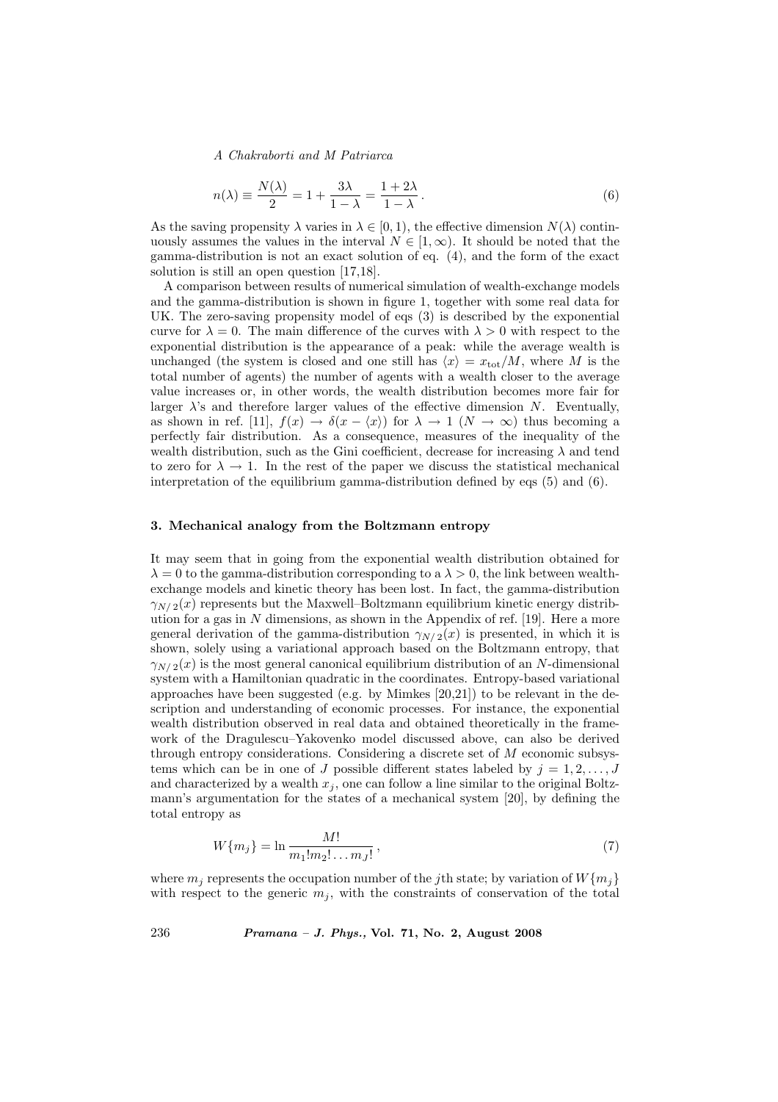$$
n(\lambda) \equiv \frac{N(\lambda)}{2} = 1 + \frac{3\lambda}{1 - \lambda} = \frac{1 + 2\lambda}{1 - \lambda}.
$$
 (6)

As the saving propensity  $\lambda$  varies in  $\lambda \in [0, 1)$ , the effective dimension  $N(\lambda)$  continuously assumes the values in the interval  $N \in [1,\infty)$ . It should be noted that the gamma-distribution is not an exact solution of eq. (4), and the form of the exact solution is still an open question [17,18].

A comparison between results of numerical simulation of wealth-exchange models and the gamma-distribution is shown in figure 1, together with some real data for UK. The zero-saving propensity model of eqs (3) is described by the exponential curve for  $\lambda = 0$ . The main difference of the curves with  $\lambda > 0$  with respect to the exponential distribution is the appearance of a peak: while the average wealth is unchanged (the system is closed and one still has  $\langle x \rangle = x_{\text{tot}}/M$ , where M is the total number of agents) the number of agents with a wealth closer to the average value increases or, in other words, the wealth distribution becomes more fair for larger  $\lambda$ 's and therefore larger values of the effective dimension N. Eventually, as shown in ref. [11],  $f(x) \to \delta(x - \langle x \rangle)$  for  $\lambda \to 1$  ( $N \to \infty$ ) thus becoming a perfectly fair distribution. As a consequence, measures of the inequality of the wealth distribution, such as the Gini coefficient, decrease for increasing  $\lambda$  and tend to zero for  $\lambda \to 1$ . In the rest of the paper we discuss the statistical mechanical interpretation of the equilibrium gamma-distribution defined by eqs  $(5)$  and  $(6)$ .

#### 3. Mechanical analogy from the Boltzmann entropy

It may seem that in going from the exponential wealth distribution obtained for  $\lambda = 0$  to the gamma-distribution corresponding to a  $\lambda > 0$ , the link between wealthexchange models and kinetic theory has been lost. In fact, the gamma-distribution  $\gamma_{N/2}(x)$  represents but the Maxwell–Boltzmann equilibrium kinetic energy distribution for a gas in  $N$  dimensions, as shown in the Appendix of ref. [19]. Here a more general derivation of the gamma-distribution  $\gamma_{N/2}(x)$  is presented, in which it is shown, solely using a variational approach based on the Boltzmann entropy, that  $\gamma_{N/2}(x)$  is the most general canonical equilibrium distribution of an N-dimensional system with a Hamiltonian quadratic in the coordinates. Entropy-based variational approaches have been suggested (e.g. by Mimkes [20,21]) to be relevant in the description and understanding of economic processes. For instance, the exponential wealth distribution observed in real data and obtained theoretically in the framework of the Dragulescu–Yakovenko model discussed above, can also be derived through entropy considerations. Considering a discrete set of M economic subsystems which can be in one of J possible different states labeled by  $j = 1, 2, \ldots, J$ and characterized by a wealth  $x_i$ , one can follow a line similar to the original Boltzmann's argumentation for the states of a mechanical system [20], by defining the total entropy as

$$
W\{m_j\} = \ln \frac{M!}{m_1! m_2! \dots m_J!},\tag{7}
$$

where  $m_i$  represents the occupation number of the jth state; by variation of  $W{m_i}$ with respect to the generic  $m_i$ , with the constraints of conservation of the total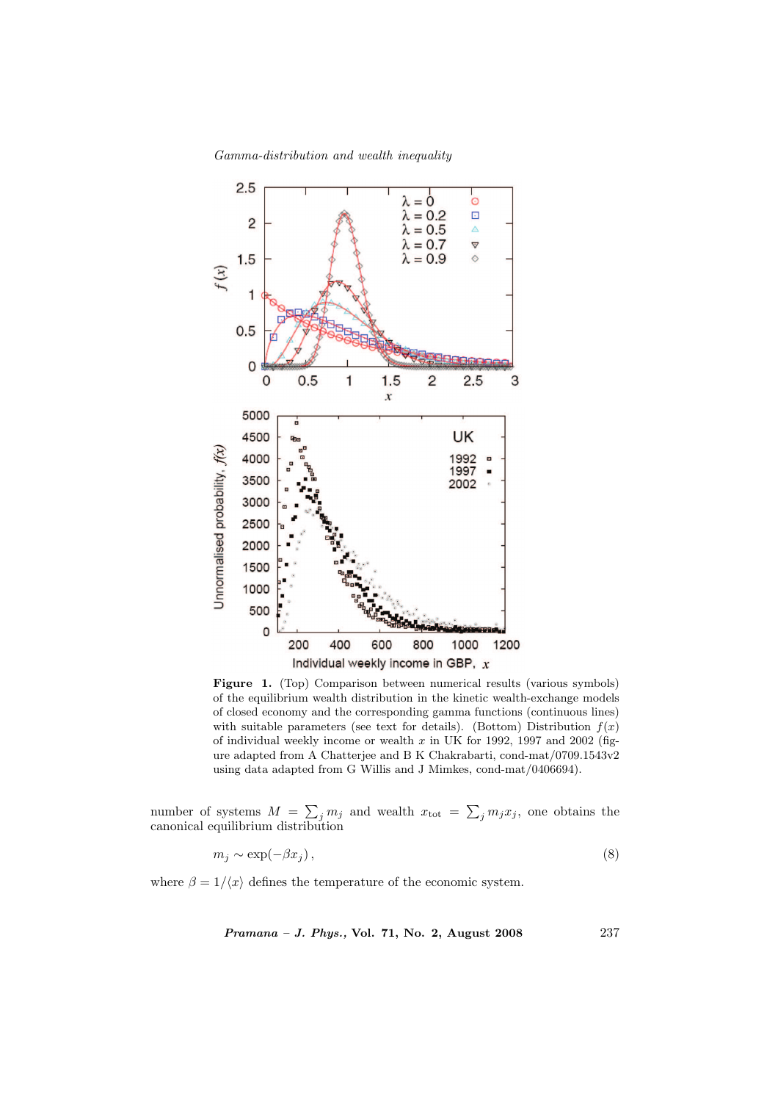

Figure 1. (Top) Comparison between numerical results (various symbols) of the equilibrium wealth distribution in the kinetic wealth-exchange models of closed economy and the corresponding gamma functions (continuous lines) with suitable parameters (see text for details). (Bottom) Distribution  $f(x)$ of individual weekly income or wealth  $x$  in UK for 1992, 1997 and 2002 (figure adapted from A Chatterjee and B K Chakrabarti, cond-mat/0709.1543v2 using data adapted from G Willis and J Mimkes, cond-mat/0406694).

number of systems  $M = \sum_j m_j$  and wealth  $x_{\text{tot}} = \sum_j m_j x_j$ , one obtains the canonical equilibrium distribution

$$
m_j \sim \exp(-\beta x_j),\tag{8}
$$

where  $\beta = 1/\langle x \rangle$  defines the temperature of the economic system.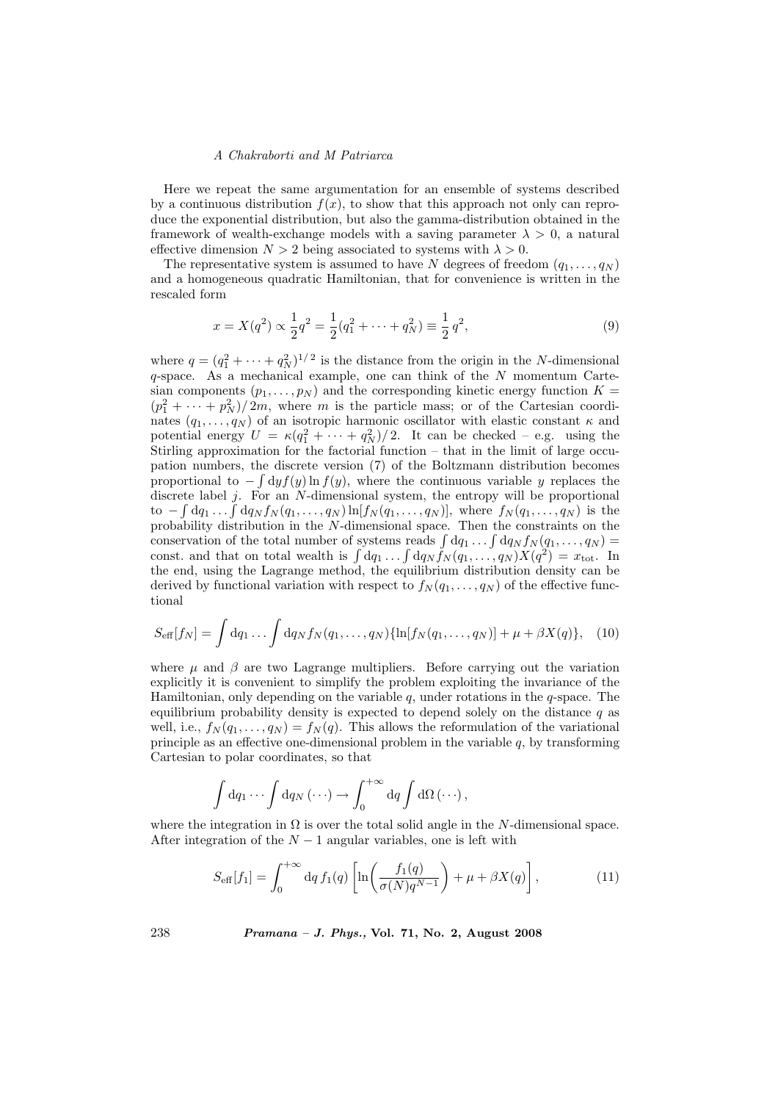Here we repeat the same argumentation for an ensemble of systems described by a continuous distribution  $f(x)$ , to show that this approach not only can reproduce the exponential distribution, but also the gamma-distribution obtained in the framework of wealth-exchange models with a saving parameter  $\lambda > 0$ , a natural effective dimension  $N > 2$  being associated to systems with  $\lambda > 0$ .

The representative system is assumed to have N degrees of freedom  $(q_1, \ldots, q_N)$ and a homogeneous quadratic Hamiltonian, that for convenience is written in the rescaled form

$$
x = X(q^2) \propto \frac{1}{2}q^2 = \frac{1}{2}(q_1^2 + \dots + q_N^2) \equiv \frac{1}{2}q^2,
$$
\n(9)

where  $q = (q_1^2 + \cdots + q_N^2)^{1/2}$  is the distance from the origin in the N-dimensional q-space. As a mechanical example, one can think of the N momentum Cartesian components  $(p_1, \ldots, p_N)$  and the corresponding kinetic energy function  $K =$  $(p_1^2 + \cdots + p_N^2)/2m$ , where m is the particle mass; or of the Cartesian coordinates  $(q_1, \ldots, q_N)$  of an isotropic harmonic oscillator with elastic constant  $\kappa$  and potential energy  $U = \kappa (q_1^2 + \cdots + q_N^2)/2$ . It can be checked – e.g. using the Stirling approximation for the factorial function – that in the limit of large occupation numbers, the discrete version (7) of the Boltzmann distribution becomes proportional to  $-\int dy f(y) \ln f(y)$ , where the continuous variable y replaces the discrete label  $j$ . For an  $N$ -dimensional system, the entropy will be proportional discrete label *j*. For an *N*-dimensional system, the entropy will be proportional to  $-\int dq_1 \dots \int dq_N f_N(q_1, \dots, q_N) \ln[f_N(q_1, \dots, q_N)]$ , where  $f_N(q_1, \dots, q_N)$  is the probability distribution in the N-dimensional space. Then the constraints on the probability distribution in the *N*-dimensional space. Then the constraints on the conservation of the total number of systems reads  $\int dq_1 \dots \int dq_N f_N(q_1, \dots, q_N) =$ conservation of the total number of systems reads  $\int dq_1 \dots \int dq_N f_N(q_1, \dots, q_N) X(q^2) = x_{\text{tot}}$ . In const. and that on total wealth is  $\int dq_1 \dots \int dq_N f_N(q_1, \dots, q_N) X(q^2) = x_{\text{tot}}$ . In the end, using the Lagrange method, the equilibrium distribution density can be derived by functional variation with respect to  $f_N(q_1, \ldots, q_N)$  of the effective functional

$$
S_{\text{eff}}[f_N] = \int dq_1 \dots \int dq_N f_N(q_1, \dots, q_N) \{ \ln[f_N(q_1, \dots, q_N)] + \mu + \beta X(q) \}, \quad (10)
$$

where  $\mu$  and  $\beta$  are two Lagrange multipliers. Before carrying out the variation explicitly it is convenient to simplify the problem exploiting the invariance of the Hamiltonian, only depending on the variable  $q$ , under rotations in the  $q$ -space. The equilibrium probability density is expected to depend solely on the distance  $q$  as well, i.e.,  $f_N(q_1, \ldots, q_N) = f_N(q)$ . This allows the reformulation of the variational principle as an effective one-dimensional problem in the variable  $q$ , by transforming Cartesian to polar coordinates, so that

$$
\int dq_1 \cdots \int dq_N (\cdots) \to \int_0^{+\infty} dq \int d\Omega (\cdots),
$$

where the integration in  $\Omega$  is over the total solid angle in the N-dimensional space. After integration of the  $N-1$  angular variables, one is left with

$$
S_{\text{eff}}[f_1] = \int_0^{+\infty} \mathrm{d}q \, f_1(q) \left[ \ln \left( \frac{f_1(q)}{\sigma(N)q^{N-1}} \right) + \mu + \beta X(q) \right],\tag{11}
$$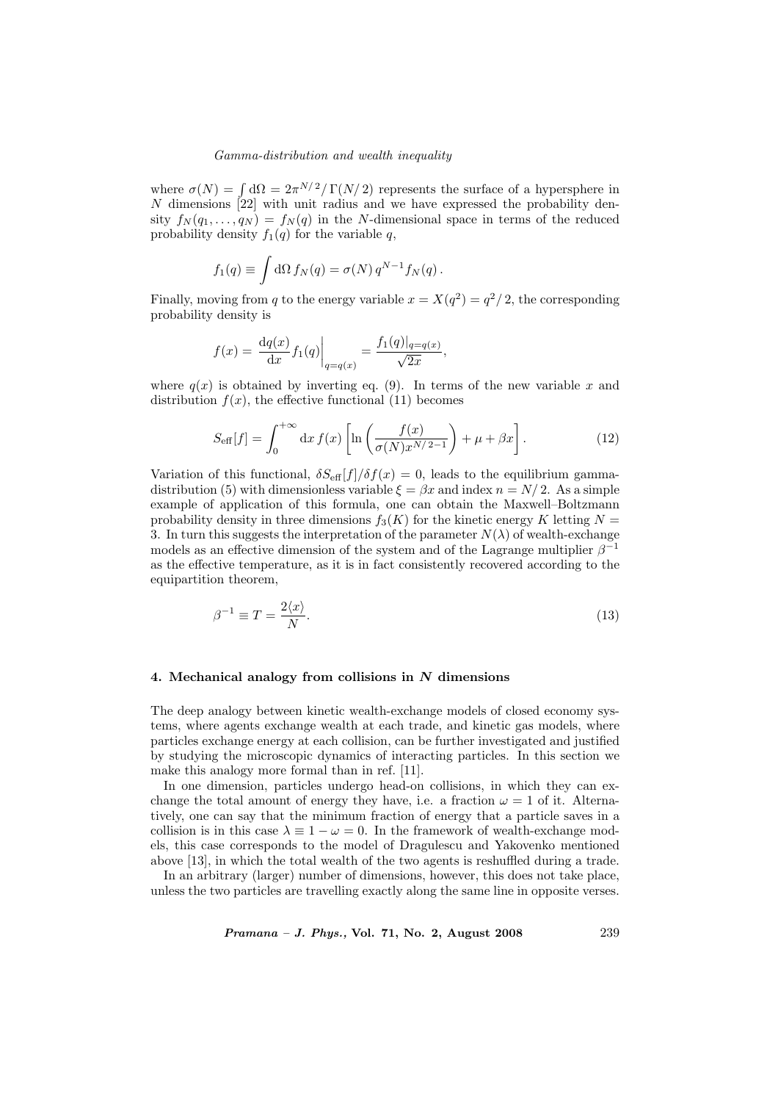where  $\sigma(N) = \int d\Omega = 2\pi^{N/2} / \Gamma(N/2)$  represents the surface of a hypersphere in N dimensions [22] with unit radius and we have expressed the probability density  $f_N(q_1, \ldots, q_N) = f_N(q)$  in the N-dimensional space in terms of the reduced probability density  $f_1(q)$  for the variable q,

$$
f_1(q) \equiv \int d\Omega f_N(q) = \sigma(N) q^{N-1} f_N(q).
$$

Finally, moving from q to the energy variable  $x = X(q^2) = q^2/2$ , the corresponding probability density is

$$
f(x) = \left. \frac{dq(x)}{dx} f_1(q) \right|_{q=q(x)} = \frac{f_1(q)|_{q=q(x)}}{\sqrt{2x}},
$$

where  $q(x)$  is obtained by inverting eq. (9). In terms of the new variable x and distribution  $f(x)$ , the effective functional (11) becomes

$$
S_{\text{eff}}[f] = \int_0^{+\infty} dx f(x) \left[ \ln \left( \frac{f(x)}{\sigma(N)x^{N/2 - 1}} \right) + \mu + \beta x \right]. \tag{12}
$$

Variation of this functional,  $\delta S_{\text{eff}}[f]/\delta f(x) = 0$ , leads to the equilibrium gammadistribution (5) with dimensionless variable  $\xi = \beta x$  and index  $n = N/2$ . As a simple example of application of this formula, one can obtain the Maxwell–Boltzmann probability density in three dimensions  $f_3(K)$  for the kinetic energy K letting  $N =$ 3. In turn this suggests the interpretation of the parameter  $N(\lambda)$  of wealth-exchange models as an effective dimension of the system and of the Lagrange multiplier  $\beta^{-1}$ as the effective temperature, as it is in fact consistently recovered according to the equipartition theorem,

$$
\beta^{-1} \equiv T = \frac{2\langle x \rangle}{N}.
$$
\n(13)

## 4. Mechanical analogy from collisions in  $N$  dimensions

The deep analogy between kinetic wealth-exchange models of closed economy systems, where agents exchange wealth at each trade, and kinetic gas models, where particles exchange energy at each collision, can be further investigated and justified by studying the microscopic dynamics of interacting particles. In this section we make this analogy more formal than in ref. [11].

In one dimension, particles undergo head-on collisions, in which they can exchange the total amount of energy they have, i.e. a fraction  $\omega = 1$  of it. Alternatively, one can say that the minimum fraction of energy that a particle saves in a collision is in this case  $\lambda \equiv 1 - \omega = 0$ . In the framework of wealth-exchange models, this case corresponds to the model of Dragulescu and Yakovenko mentioned above [13], in which the total wealth of the two agents is reshuffled during a trade.

In an arbitrary (larger) number of dimensions, however, this does not take place, unless the two particles are travelling exactly along the same line in opposite verses.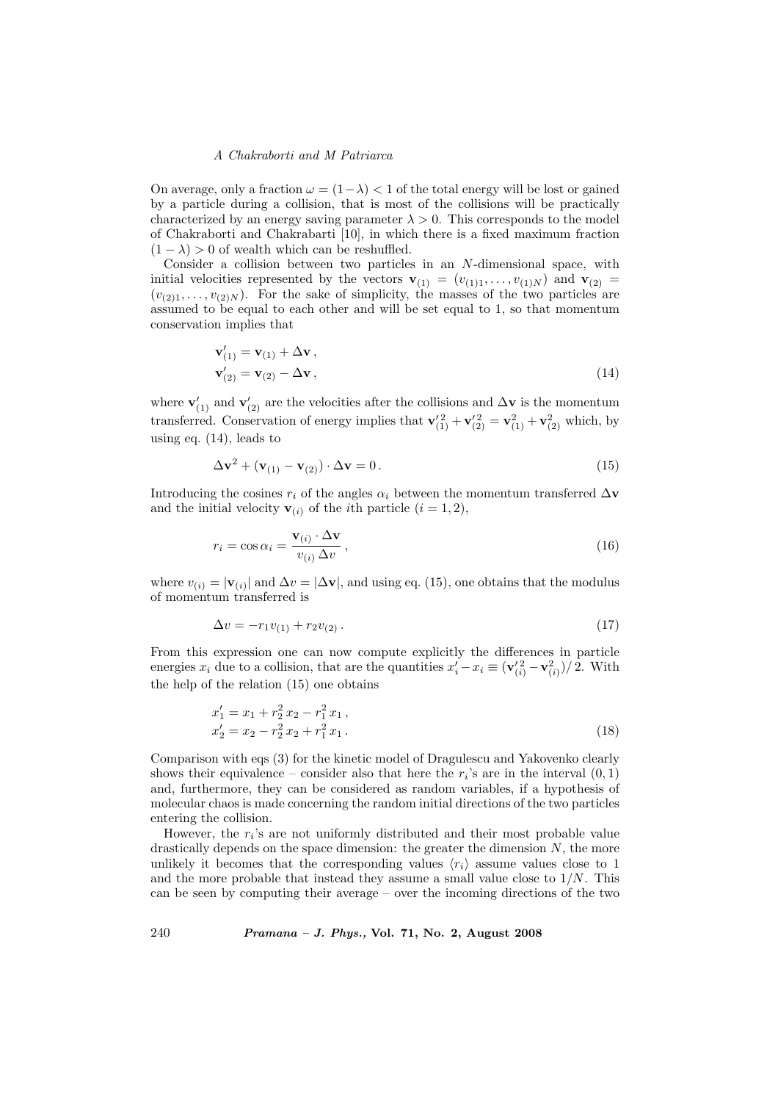On average, only a fraction  $\omega = (1 - \lambda) < 1$  of the total energy will be lost or gained by a particle during a collision, that is most of the collisions will be practically characterized by an energy saving parameter  $\lambda > 0$ . This corresponds to the model of Chakraborti and Chakrabarti [10], in which there is a fixed maximum fraction  $(1 - \lambda) > 0$  of wealth which can be reshuffled.

Consider a collision between two particles in an N-dimensional space, with initial velocities represented by the vectors  $\mathbf{v}_{(1)} = (v_{(1)1}, \ldots, v_{(1)N})$  and  $\mathbf{v}_{(2)} =$  $(v_{(2)1}, \ldots, v_{(2)N})$ . For the sake of simplicity, the masses of the two particles are assumed to be equal to each other and will be set equal to 1, so that momentum conservation implies that

$$
\mathbf{v}'_{(1)} = \mathbf{v}_{(1)} + \Delta \mathbf{v},
$$
  
\n
$$
\mathbf{v}'_{(2)} = \mathbf{v}_{(2)} - \Delta \mathbf{v},
$$
\n(14)

where  $\mathbf{v}'_{(1)}$  and  $\mathbf{v}'_{(2)}$  are the velocities after the collisions and  $\Delta \mathbf{v}$  is the momentum transferred. Conservation of energy implies that  $\mathbf{v}'^{2}_{(1)} + \mathbf{v}'^{2}_{(2)} = \mathbf{v}^{2}_{(1)} + \mathbf{v}^{2}_{(2)}$  which, by using eq. (14), leads to

$$
\Delta \mathbf{v}^2 + (\mathbf{v}_{(1)} - \mathbf{v}_{(2)}) \cdot \Delta \mathbf{v} = 0. \tag{15}
$$

Introducing the cosines  $r_i$  of the angles  $\alpha_i$  between the momentum transferred  $\Delta \mathbf{v}$ and the initial velocity  $\mathbf{v}_{(i)}$  of the *i*th particle  $(i = 1, 2)$ ,

$$
r_i = \cos \alpha_i = \frac{\mathbf{v}_{(i)} \cdot \Delta \mathbf{v}}{v_{(i)} \Delta v},\tag{16}
$$

where  $v_{(i)} = |\mathbf{v}_{(i)}|$  and  $\Delta v = |\Delta \mathbf{v}|$ , and using eq. (15), one obtains that the modulus of momentum transferred is

$$
\Delta v = -r_1 v_{(1)} + r_2 v_{(2)} \,. \tag{17}
$$

From this expression one can now compute explicitly the differences in particle energies  $x_i$  due to a collision, that are the quantities  $x'_i - x_i \equiv (\mathbf{v}'^2_{(i)} - \mathbf{v}^2_{(i)})/2$ . With the help of the relation (15) one obtains

$$
x'_1 = x_1 + r_2^2 x_2 - r_1^2 x_1,
$$
  
\n
$$
x'_2 = x_2 - r_2^2 x_2 + r_1^2 x_1.
$$
\n(18)

Comparison with eqs (3) for the kinetic model of Dragulescu and Yakovenko clearly shows their equivalence – consider also that here the  $r_i$ 's are in the interval  $(0,1)$ and, furthermore, they can be considered as random variables, if a hypothesis of molecular chaos is made concerning the random initial directions of the two particles entering the collision.

However, the  $r_i$ 's are not uniformly distributed and their most probable value drastically depends on the space dimension: the greater the dimension  $N$ , the more unlikely it becomes that the corresponding values  $\langle r_i \rangle$  assume values close to 1 and the more probable that instead they assume a small value close to  $1/N$ . This can be seen by computing their average – over the incoming directions of the two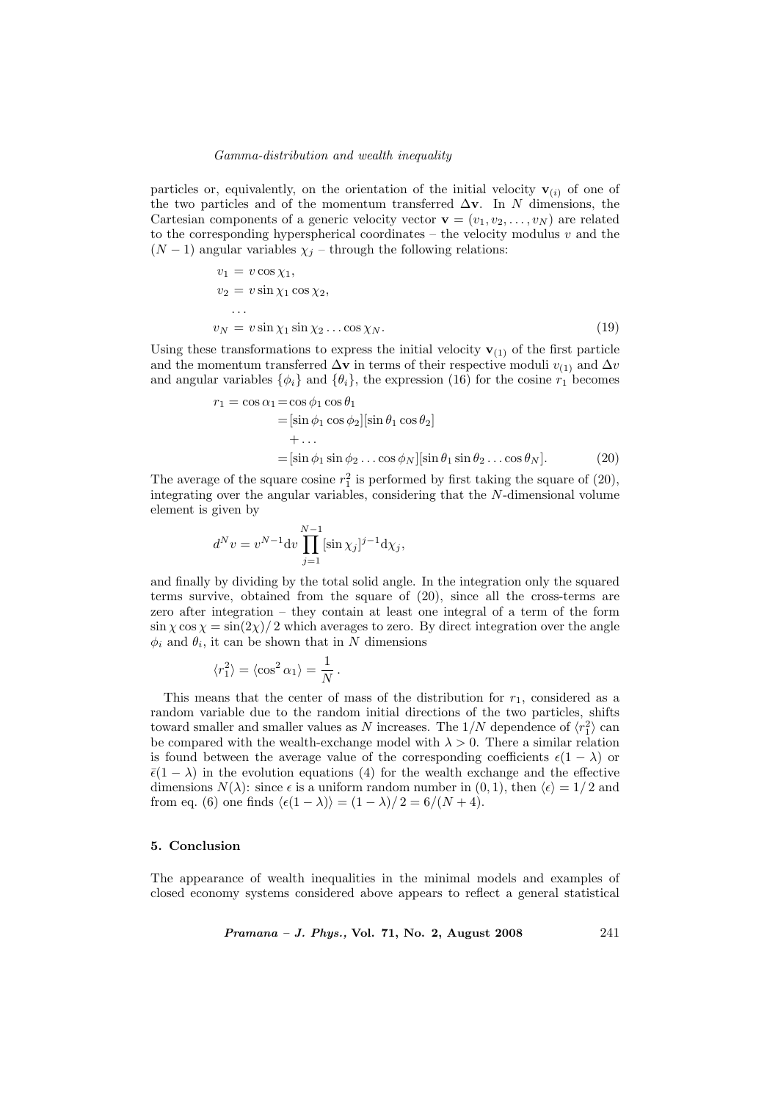particles or, equivalently, on the orientation of the initial velocity  $\mathbf{v}_{(i)}$  of one of the two particles and of the momentum transferred  $\Delta$ v. In N dimensions, the Cartesian components of a generic velocity vector  $\mathbf{v} = (v_1, v_2, \dots, v_N)$  are related to the corresponding hyperspherical coordinates – the velocity modulus  $v$  and the  $(N-1)$  angular variables  $\chi_j$  – through the following relations:

$$
v_1 = v \cos \chi_1,
$$
  
\n
$$
v_2 = v \sin \chi_1 \cos \chi_2,
$$
  
\n...  
\n
$$
v_N = v \sin \chi_1 \sin \chi_2 ... \cos \chi_N.
$$
\n(19)

Using these transformations to express the initial velocity  $\mathbf{v}_{(1)}$  of the first particle and the momentum transferred  $\Delta$ v in terms of their respective moduli  $v_{(1)}$  and  $\Delta v$ and angular variables  $\{\phi_i\}$  and  $\{\theta_i\}$ , the expression  $(16)$  for the cosine  $r_1$  becomes

$$
r_1 = \cos \alpha_1 = \cos \phi_1 \cos \theta_1
$$
  
=  $[\sin \phi_1 \cos \phi_2][\sin \theta_1 \cos \theta_2]$   
+ ...  
=  $[\sin \phi_1 \sin \phi_2 ... \cos \phi_N][\sin \theta_1 \sin \theta_2 ... \cos \theta_N].$  (20)

The average of the square cosine  $r_1^2$  is performed by first taking the square of (20), integrating over the angular variables, considering that the N-dimensional volume element is given by

$$
d^{N}v = v^{N-1} dv \prod_{j=1}^{N-1} [\sin \chi_{j}]^{j-1} d\chi_{j},
$$

and finally by dividing by the total solid angle. In the integration only the squared terms survive, obtained from the square of (20), since all the cross-terms are zero after integration – they contain at least one integral of a term of the form  $\sin \chi \cos \chi = \sin(2\chi)/2$  which averages to zero. By direct integration over the angle  $\phi_i$  and  $\theta_i$ , it can be shown that in N dimensions

$$
\langle r_1^2\rangle = \langle \cos^2\alpha_1\rangle = \frac{1}{N} \, .
$$

This means that the center of mass of the distribution for  $r_1$ , considered as a random variable due to the random initial directions of the two particles, shifts toward smaller and smaller values as N increases. The  $1/N$  dependence of  $\langle r_1^2 \rangle$  can be compared with the wealth-exchange model with  $\lambda > 0$ . There a similar relation is found between the average value of the corresponding coefficients  $\epsilon(1 - \lambda)$  or  $\bar{\epsilon}(1-\lambda)$  in the evolution equations (4) for the wealth exchange and the effective dimensions  $N(\lambda)$ : since  $\epsilon$  is a uniform random number in  $(0, 1)$ , then  $\langle \epsilon \rangle = 1/2$  and from eq. (6) one finds  $\langle \epsilon(1 - \lambda) \rangle = (1 - \lambda)/2 = 6/(N + 4)$ .

### 5. Conclusion

The appearance of wealth inequalities in the minimal models and examples of closed economy systems considered above appears to reflect a general statistical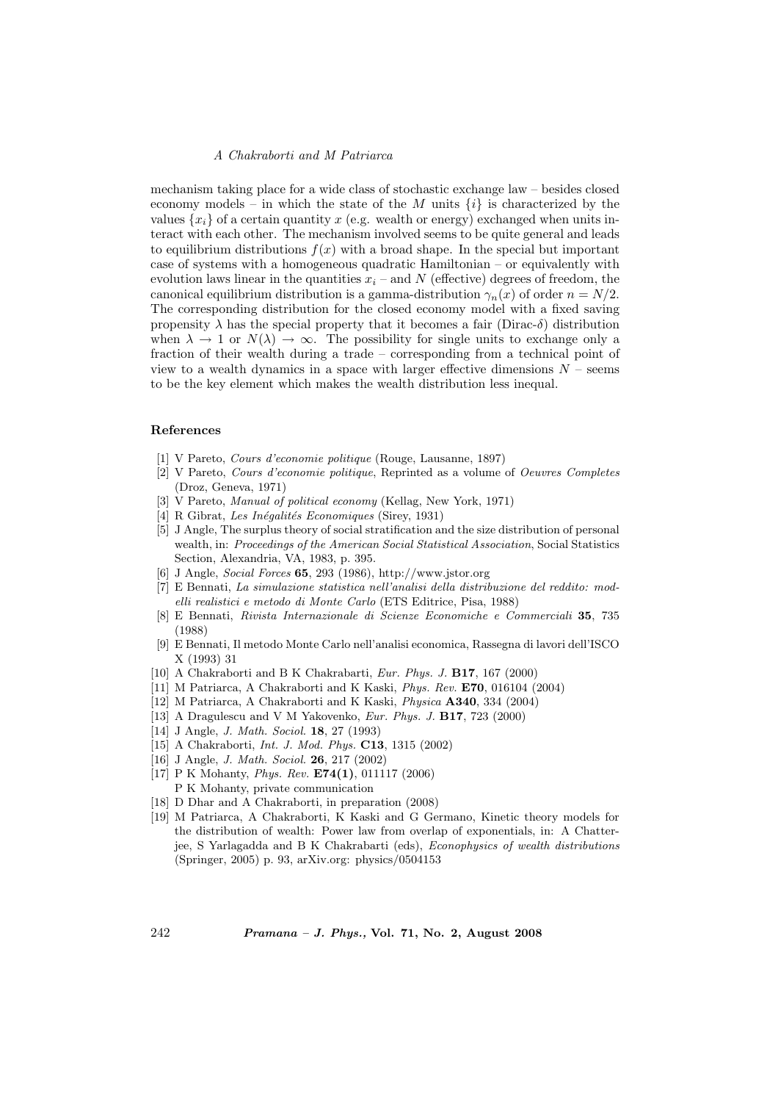mechanism taking place for a wide class of stochastic exchange law – besides closed economy models – in which the state of the M units  $\{i\}$  is characterized by the values  ${x_i}$  of a certain quantity x (e.g. wealth or energy) exchanged when units interact with each other. The mechanism involved seems to be quite general and leads to equilibrium distributions  $f(x)$  with a broad shape. In the special but important case of systems with a homogeneous quadratic Hamiltonian – or equivalently with evolution laws linear in the quantities  $x_i$  – and N (effective) degrees of freedom, the canonical equilibrium distribution is a gamma-distribution  $\gamma_n(x)$  of order  $n = N/2$ . The corresponding distribution for the closed economy model with a fixed saving propensity  $\lambda$  has the special property that it becomes a fair (Dirac- $\delta$ ) distribution when  $\lambda \to 1$  or  $N(\lambda) \to \infty$ . The possibility for single units to exchange only a fraction of their wealth during a trade – corresponding from a technical point of view to a wealth dynamics in a space with larger effective dimensions  $N$  – seems to be the key element which makes the wealth distribution less inequal.

## References

- [1] V Pareto, Cours d'economie politique (Rouge, Lausanne, 1897)
- [2] V Pareto, Cours d'economie politique, Reprinted as a volume of Oeuvres Completes (Droz, Geneva, 1971)
- [3] V Pareto, Manual of political economy (Kellag, New York, 1971)
- [4] R Gibrat, Les Inégalités Economiques (Sirey, 1931)
- [5] J Angle, The surplus theory of social stratification and the size distribution of personal wealth, in: Proceedings of the American Social Statistical Association, Social Statistics Section, Alexandria, VA, 1983, p. 395.
- [6] J Angle, Social Forces 65, 293 (1986), http://www.jstor.org
- [7] E Bennati, La simulazione statistica nell'analisi della distribuzione del reddito: modelli realistici e metodo di Monte Carlo (ETS Editrice, Pisa, 1988)
- [8] E Bennati, Rivista Internazionale di Scienze Economiche e Commerciali 35, 735 (1988)
- [9] E Bennati, Il metodo Monte Carlo nell'analisi economica, Rassegna di lavori dell'ISCO X (1993) 31
- [10] A Chakraborti and B K Chakrabarti, Eur. Phys. J. B17, 167 (2000)
- [11] M Patriarca, A Chakraborti and K Kaski, Phys. Rev. E70, 016104 (2004)
- [12] M Patriarca, A Chakraborti and K Kaski, Physica A340, 334 (2004)
- [13] A Dragulescu and V M Yakovenko, Eur. Phys. J. **B17**, 723 (2000)
- [14] J Angle, J. Math. Sociol. 18, 27 (1993)
- [15] A Chakraborti, Int. J. Mod. Phys. C13, 1315 (2002)
- [16] J Angle, J. Math. Sociol. 26, 217 (2002)
- [17] P K Mohanty, *Phys. Rev.* **E74(1)**, 011117 (2006) P K Mohanty, private communication
- [18] D Dhar and A Chakraborti, in preparation (2008)
- [19] M Patriarca, A Chakraborti, K Kaski and G Germano, Kinetic theory models for the distribution of wealth: Power law from overlap of exponentials, in: A Chatterjee, S Yarlagadda and B K Chakrabarti (eds), Econophysics of wealth distributions (Springer, 2005) p. 93, arXiv.org: physics/0504153